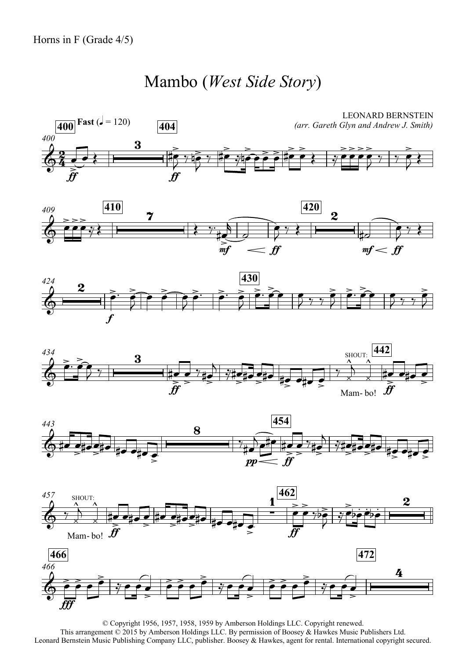## Mambo (*West Side Story*)















© Copyright 1956, 1957, 1958, 1959 by Amberson Holdings LLC. Copyright renewed. This arrangement © 2015 by Amberson Holdings LLC. By permission of Boosey & Hawkes Music Publishers Ltd. Leonard Bernstein Music Publishing Company LLC, publisher. Boosey & Hawkes, agent for rental. International copyright secured.